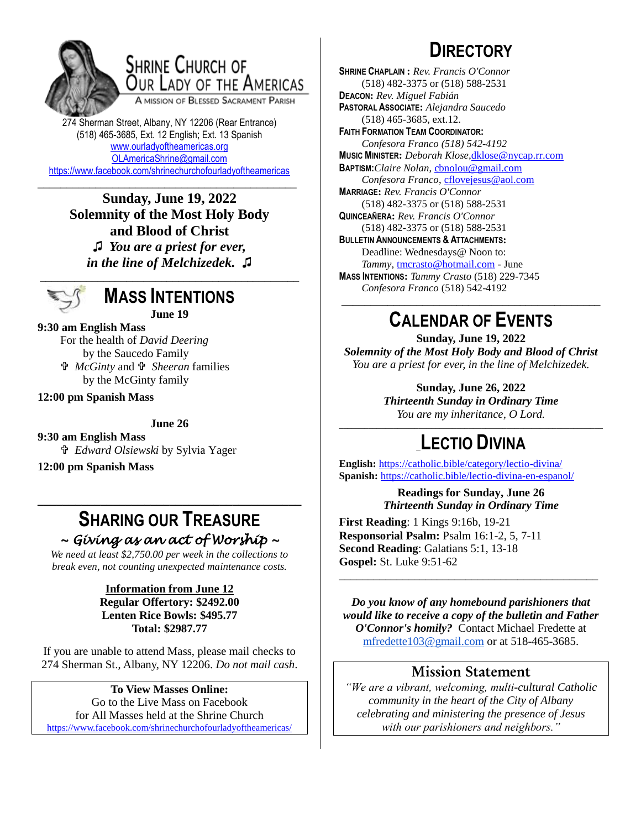

## SHRINE CHURCH OF OUR LADY OF THE AMERICAS

A MISSION OF BLESSED SACRAMENT PARISH

274 Sherman Street, Albany, NY 12206 (Rear Entrance) (518) 465-3685, Ext. 12 English; Ext. 13 Spanish [www.ourladyoftheamericas.org](http://www.ourladyoftheamericas.org/) [OLAmericaShrine@gmail.com](mailto:OLAmericaShrine@gmail.com) <https://www.facebook.com/shrinechurchofourladyoftheamericas>

#### \_\_\_\_\_\_\_\_\_\_\_\_\_\_\_\_\_\_\_\_\_\_\_\_\_\_\_\_\_\_\_\_\_\_\_\_\_\_\_\_\_\_\_\_\_ **Sunday, June 19, 2022 Solemnity of the Most Holy Body and Blood of Christ**

**♫** *You are a priest for ever, in the line of Melchizedek.* **♫** \_\_\_\_\_\_\_\_\_\_\_\_\_\_\_\_\_\_\_\_\_\_\_\_\_\_\_\_\_\_\_\_\_\_\_\_\_\_\_\_\_\_\_\_\_



### **MASS INTENTIONS June 19**

**9:30 am English Mass**

For the health of *David Deering* by the Saucedo Family  *McGinty* and  *Sheeran* families by the McGinty family

**12:00 pm Spanish Mass**

**June 26**

**9:30 am English Mass**  *Edward Olsiewski* by Sylvia Yager

**12:00 pm Spanish Mass**

### **SHARING OUR TREASURE** *~ Giving as an act of Worship ~*

**\_\_\_\_\_\_\_\_\_\_\_\_\_\_\_\_\_\_\_\_\_\_\_\_\_\_\_\_\_\_\_\_\_\_\_\_\_\_\_\_\_\_**

*We need at least \$2,750.00 per week in the collections to break even, not counting unexpected maintenance costs.*

> **Information from June 12 Regular Offertory: \$2492.00 Lenten Rice Bowls: \$495.77 Total: \$2987.77**

If you are unable to attend Mass, please mail checks to 274 Sherman St., Albany, NY 12206. *Do not mail cash*.

**To View Masses Online:** Go to the Live Mass on Facebook for All Masses held at the Shrine Church <https://www.facebook.com/shrinechurchofourladyoftheamericas/>

# **DIRECTORY**

**SHRINE CHAPLAIN :** *Rev. Francis O'Connor* (518) 482-3375 or (518) 588-2531 **DEACON:** *Rev. Miguel Fabián* **PASTORAL ASSOCIATE:** *Alejandra Saucedo* (518) 465-3685, ext.12. **FAITH FORMATION TEAM COORDINATOR:** *Confesora Franco (518) 542-4192* **MUSIC MINISTER:** *Deborah Klose,*[dklose@nycap.rr.com](mailto:dklose@nycap.rr.com) **BAPTISM:***Claire Nolan*, [cbnolou@gmail.com](mailto:cbnolou@gmail.com) *Confesora Franco*, [cflovejesus@aol.com](mailto:cflovejesus@aol.com) **MARRIAGE:** *Rev. Francis O'Connor* (518) 482-3375 or (518) 588-2531 **QUINCEAÑERA:** *Rev. Francis O'Connor* (518) 482-3375 or (518) 588-2531 **BULLETIN ANNOUNCEMENTS & ATTACHMENTS:** Deadline: Wednesdays@ Noon to: *Tammy*, [tmcrasto@hotmail.com](mailto:tmcrasto@hotmail.com) - June **MASS INTENTIONS:** *Tammy Crasto* (518) 229-7345 *Confesora Franco* (518) 542-4192 **\_\_\_\_\_\_\_\_\_\_\_\_\_\_\_\_\_\_\_\_\_\_\_\_\_\_\_\_\_\_\_\_\_\_\_\_\_\_\_\_\_\_\_\_\_**

# **CALENDAR OF EVENTS**

**Sunday, June 19, 2022** *Solemnity of the Most Holy Body and Blood of Christ You are a priest for ever, in the line of Melchizedek.*

**Sunday, June 26, 2022**

*Thirteenth Sunday in Ordinary Time You are my inheritance, O Lord.*

### \_\_\_\_\_\_\_\_\_\_\_\_\_\_\_\_\_\_\_\_\_\_\_\_\_\_\_\_\_\_\_\_\_\_\_\_\_\_\_\_\_\_\_\_\_\_\_\_\_\_\_\_\_\_\_\_\_\_\_\_\_\_\_ \_**LECTIO DIVINA**

**English:** <https://catholic.bible/category/lectio-divina/> **Spanish:** <https://catholic.bible/lectio-divina-en-espanol/>

> **Readings for Sunday, June 26** *Thirteenth Sunday in Ordinary Time*

**First Reading**: 1 Kings 9:16b, 19-21 **Responsorial Psalm:** Psalm 16:1-2, 5, 7-11 **Second Reading**: Galatians 5:1, 13-18 **Gospel:** St. Luke 9:51-62

*Do you know of any homebound parishioners that would like to receive a copy of the bulletin and Father O'Connor's homily?* Contact Michael Fredette at [mfredette103@gmail.com](mailto:mfredette103@gmail.com) or at 518-465-3685.

\_\_\_\_\_\_\_\_\_\_\_\_\_\_\_\_\_\_\_\_\_\_\_\_\_\_\_\_\_\_\_\_\_\_\_\_\_\_\_\_\_\_\_\_\_

### **Mission Statement**

*"We are a vibrant, welcoming, multi-cultural Catholic community in the heart of the City of Albany celebrating and ministering the presence of Jesus with our parishioners and neighbors."*